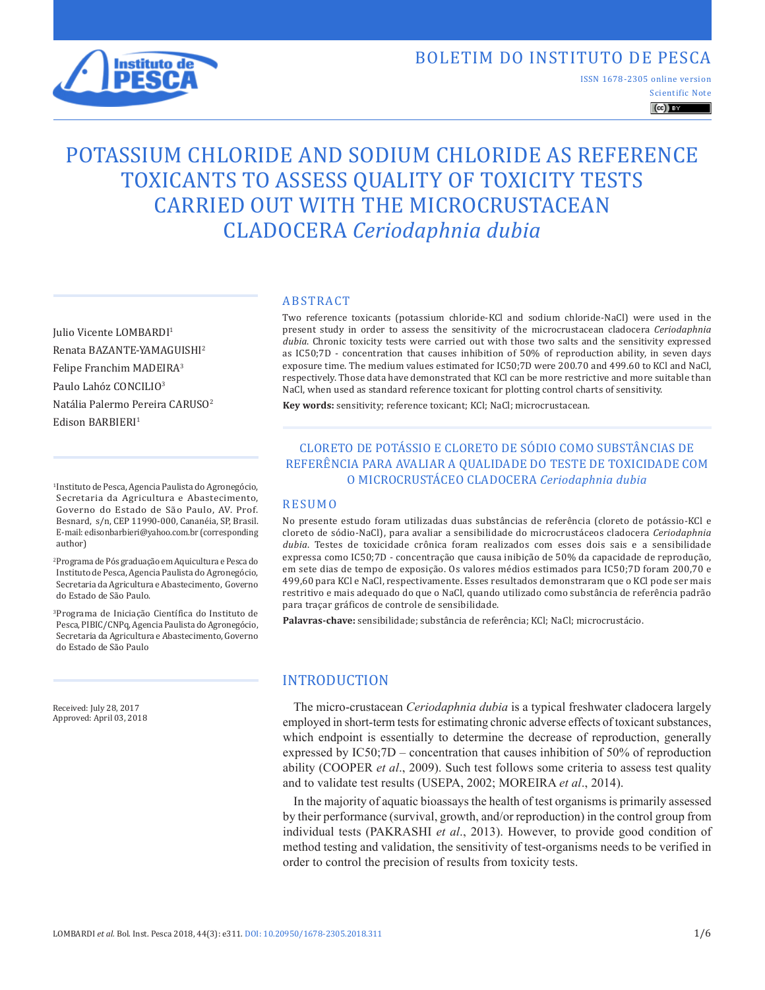# BOLETIM DO INSTITUTO DE PESCA



Scientific Note ISSN 1678-2305 online version

 $\left(\mathrm{cc}\right)$  BY

# POTASSIUM CHLORIDE AND SODIUM CHLORIDE AS REFERENCE TOXICANTS TO ASSESS QUALITY OF TOXICITY TESTS CARRIED OUT WITH THE MICROCRUSTACEAN CLADOCERA *Ceriodaphnia dubia*

Julio Vicente LOMBARDI1 Renata BAZANTE-YAMAGUISHI2 Felipe Franchim MADEIRA3 Paulo Lahóz CONCILIO3 Natália Palermo Pereira CARUSO2 Edison BARBIERI<sup>1</sup>

1Instituto de Pesca, Agencia Paulista do Agronegócio, Secretaria da Agricultura e Abastecimento, Governo do Estado de São Paulo, AV. Prof. Besnard, s/n, CEP 11990-000, Cananéia, SP, Brasil. E-mail: edisonbarbieri@yahoo.com.br (corresponding author)

2Programa de Pós graduação em Aquicultura e Pesca do Instituto de Pesca, Agencia Paulista do Agronegócio, Secretaria da Agricultura e Abastecimento, Governo do Estado de São Paulo.

3Programa de Iniciação Científica do Instituto de Pesca, PIBIC/CNPq, Agencia Paulista do Agronegócio, Secretaria da Agricultura e Abastecimento, Governo do Estado de São Paulo

Received: July 28, 2017 Approved: April 03, 2018

#### ABSTRACT

Two reference toxicants (potassium chloride-KCl and sodium chloride-NaCl) were used in the present study in order to assess the sensitivity of the microcrustacean cladocera *Ceriodaphnia dubia*. Chronic toxicity tests were carried out with those two salts and the sensitivity expressed as IC50;7D - concentration that causes inhibition of 50% of reproduction ability, in seven days exposure time. The medium values estimated for IC50;7D were 200.70 and 499.60 to KCl and NaCl, respectively. Those data have demonstrated that KCl can be more restrictive and more suitable than NaCl, when used as standard reference toxicant for plotting control charts of sensitivity.

**Key words:** sensitivity; reference toxicant; KCl; NaCl; microcrustacean.

## CLORETO DE POTÁSSIO E CLORETO DE SÓDIO COMO SUBSTÂNCIAS DE REFERÊNCIA PARA AVALIAR A QUALIDADE DO TESTE DE TOXICIDADE COM O MICROCRUSTÁCEO CLADOCERA *Ceriodaphnia dubia*

#### RESUMO

No presente estudo foram utilizadas duas substâncias de referência (cloreto de potássio-KCl e cloreto de sódio-NaCl), para avaliar a sensibilidade do microcrustáceos cladocera *Ceriodaphnia dubia*. Testes de toxicidade crônica foram realizados com esses dois sais e a sensibilidade expressa como IC50;7D - concentração que causa inibição de 50% da capacidade de reprodução, em sete dias de tempo de exposição. Os valores médios estimados para IC50;7D foram 200,70 e 499,60 para KCl e NaCl, respectivamente. Esses resultados demonstraram que o KCl pode ser mais restritivo e mais adequado do que o NaCl, quando utilizado como substância de referência padrão para traçar gráficos de controle de sensibilidade.

**Palavras-chave:** sensibilidade; substância de referência; KCl; NaCl; microcrustácio.

# INTRODUCTION

The micro-crustacean *Ceriodaphnia dubia* is a typical freshwater cladocera largely employed in short-term tests for estimating chronic adverse effects of toxicant substances, which endpoint is essentially to determine the decrease of reproduction, generally expressed by IC50;7D – concentration that causes inhibition of 50% of reproduction ability (COOPER *et al*., 2009). Such test follows some criteria to assess test quality and to validate test results (USEPA, 2002; MOREIRA *et al*., 2014).

In the majority of aquatic bioassays the health of test organisms is primarily assessed by their performance (survival, growth, and/or reproduction) in the control group from individual tests (PAKRASHI *et al*., 2013). However, to provide good condition of method testing and validation, the sensitivity of test-organisms needs to be verified in order to control the precision of results from toxicity tests.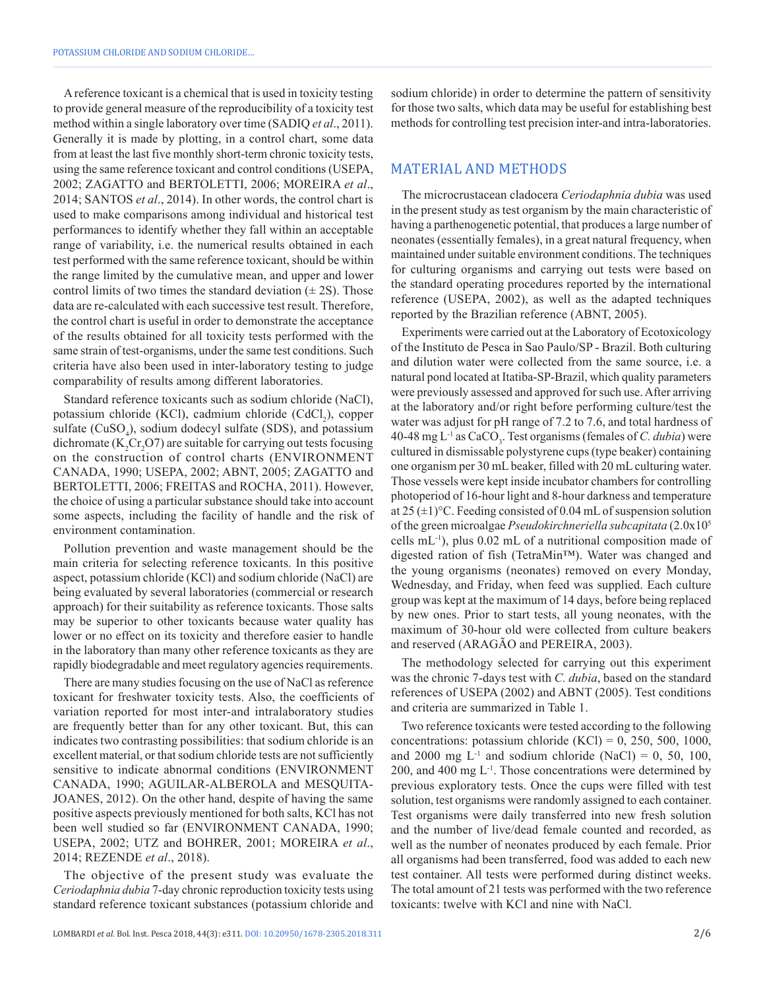A reference toxicant is a chemical that is used in toxicity testing to provide general measure of the reproducibility of a toxicity test method within a single laboratory over time (SADIQ *et al*., 2011). Generally it is made by plotting, in a control chart, some data from at least the last five monthly short-term chronic toxicity tests, using the same reference toxicant and control conditions (USEPA, 2002; ZAGATTO and BERTOLETTI, 2006; MOREIRA *et al*., 2014; SANTOS *et al*., 2014). In other words, the control chart is used to make comparisons among individual and historical test performances to identify whether they fall within an acceptable range of variability, i.e. the numerical results obtained in each test performed with the same reference toxicant, should be within the range limited by the cumulative mean, and upper and lower control limits of two times the standard deviation  $(\pm 2S)$ . Those data are re-calculated with each successive test result. Therefore, the control chart is useful in order to demonstrate the acceptance of the results obtained for all toxicity tests performed with the same strain of test-organisms, under the same test conditions. Such criteria have also been used in inter-laboratory testing to judge comparability of results among different laboratories.

Standard reference toxicants such as sodium chloride (NaCl), potassium chloride (KCl), cadmium chloride (CdCl<sub>2</sub>), copper sulfate (CuSO<sub>4</sub>), sodium dodecyl sulfate (SDS), and potassium dichromate ( $K_2$ Cr<sub>2</sub>O7) are suitable for carrying out tests focusing on the construction of control charts (ENVIRONMENT CANADA, 1990; USEPA, 2002; ABNT, 2005; ZAGATTO and BERTOLETTI, 2006; FREITAS and ROCHA, 2011). However, the choice of using a particular substance should take into account some aspects, including the facility of handle and the risk of environment contamination.

Pollution prevention and waste management should be the main criteria for selecting reference toxicants. In this positive aspect, potassium chloride (KCl) and sodium chloride (NaCl) are being evaluated by several laboratories (commercial or research approach) for their suitability as reference toxicants. Those salts may be superior to other toxicants because water quality has lower or no effect on its toxicity and therefore easier to handle in the laboratory than many other reference toxicants as they are rapidly biodegradable and meet regulatory agencies requirements.

There are many studies focusing on the use of NaCl as reference toxicant for freshwater toxicity tests. Also, the coefficients of variation reported for most inter-and intralaboratory studies are frequently better than for any other toxicant. But, this can indicates two contrasting possibilities: that sodium chloride is an excellent material, or that sodium chloride tests are not sufficiently sensitive to indicate abnormal conditions (ENVIRONMENT CANADA, 1990; AGUILAR-ALBEROLA and MESQUITA-JOANES, 2012). On the other hand, despite of having the same positive aspects previously mentioned for both salts, KCl has not been well studied so far (ENVIRONMENT CANADA, 1990; USEPA, 2002; UTZ and BOHRER, 2001; MOREIRA *et al*., 2014; REZENDE *et al*., 2018).

The objective of the present study was evaluate the *Ceriodaphnia dubia* 7-day chronic reproduction toxicity tests using standard reference toxicant substances (potassium chloride and

sodium chloride) in order to determine the pattern of sensitivity for those two salts, which data may be useful for establishing best methods for controlling test precision inter-and intra-laboratories.

#### MATERIAL AND METHODS

The microcrustacean cladocera *Ceriodaphnia dubia* was used in the present study as test organism by the main characteristic of having a parthenogenetic potential, that produces a large number of neonates (essentially females), in a great natural frequency, when maintained under suitable environment conditions. The techniques for culturing organisms and carrying out tests were based on the standard operating procedures reported by the international reference (USEPA, 2002), as well as the adapted techniques reported by the Brazilian reference (ABNT, 2005).

Experiments were carried out at the Laboratory of Ecotoxicology of the Instituto de Pesca in Sao Paulo/SP - Brazil. Both culturing and dilution water were collected from the same source, i.e. a natural pond located at Itatiba-SP-Brazil, which quality parameters were previously assessed and approved for such use. After arriving at the laboratory and/or right before performing culture/test the water was adjust for pH range of 7.2 to 7.6, and total hardness of 40-48 mg  $L^{-1}$  as  $CaCO_3$ . Test organisms (females of *C. dubia*) were cultured in dismissable polystyrene cups (type beaker) containing one organism per 30 mL beaker, filled with 20 mL culturing water. Those vessels were kept inside incubator chambers for controlling photoperiod of 16-hour light and 8-hour darkness and temperature at  $25 (\pm 1)$ °C. Feeding consisted of 0.04 mL of suspension solution of the green microalgae *Pseudokirchneriella subcapitata* (2.0x105 cells mL-1), plus 0.02 mL of a nutritional composition made of digested ration of fish (TetraMin™). Water was changed and the young organisms (neonates) removed on every Monday, Wednesday, and Friday, when feed was supplied. Each culture group was kept at the maximum of 14 days, before being replaced by new ones. Prior to start tests, all young neonates, with the maximum of 30-hour old were collected from culture beakers and reserved (ARAGÃO and PEREIRA, 2003).

The methodology selected for carrying out this experiment was the chronic 7-days test with *C. dubia*, based on the standard references of USEPA (2002) and ABNT (2005). Test conditions and criteria are summarized in Table 1.

Two reference toxicants were tested according to the following concentrations: potassium chloride (KCl) =  $0$ , 250, 500, 1000, and 2000 mg  $L^{-1}$  and sodium chloride (NaCl) = 0, 50, 100, 200, and 400 mg  $L^{-1}$ . Those concentrations were determined by previous exploratory tests. Once the cups were filled with test solution, test organisms were randomly assigned to each container. Test organisms were daily transferred into new fresh solution and the number of live/dead female counted and recorded, as well as the number of neonates produced by each female. Prior all organisms had been transferred, food was added to each new test container. All tests were performed during distinct weeks. The total amount of 21 tests was performed with the two reference toxicants: twelve with KCl and nine with NaCl.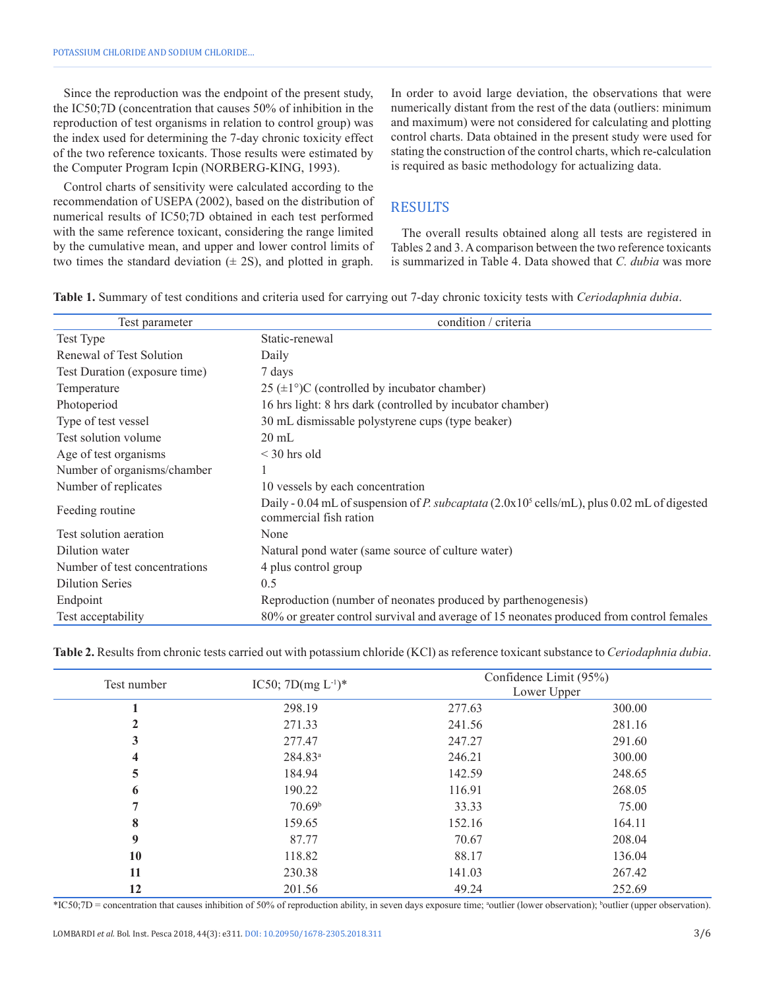Since the reproduction was the endpoint of the present study, the IC50;7D (concentration that causes 50% of inhibition in the reproduction of test organisms in relation to control group) was the index used for determining the 7-day chronic toxicity effect of the two reference toxicants. Those results were estimated by the Computer Program Icpin (NORBERG-KING, 1993).

Control charts of sensitivity were calculated according to the recommendation of USEPA (2002), based on the distribution of numerical results of IC50;7D obtained in each test performed with the same reference toxicant, considering the range limited by the cumulative mean, and upper and lower control limits of two times the standard deviation  $(\pm 2S)$ , and plotted in graph. In order to avoid large deviation, the observations that were numerically distant from the rest of the data (outliers: minimum and maximum) were not considered for calculating and plotting control charts. Data obtained in the present study were used for stating the construction of the control charts, which re-calculation is required as basic methodology for actualizing data.

# **RESULTS**

The overall results obtained along all tests are registered in Tables 2 and 3. A comparison between the two reference toxicants is summarized in Table 4. Data showed that *C. dubia* was more

**Table 1.** Summary of test conditions and criteria used for carrying out 7-day chronic toxicity tests with *Ceriodaphnia dubia*.

| Test parameter                | condition / criteria                                                                                                              |
|-------------------------------|-----------------------------------------------------------------------------------------------------------------------------------|
| Test Type                     | Static-renewal                                                                                                                    |
| Renewal of Test Solution      | Daily                                                                                                                             |
| Test Duration (exposure time) | 7 days                                                                                                                            |
| Temperature                   | 25 ( $\pm$ 1°)C (controlled by incubator chamber)                                                                                 |
| Photoperiod                   | 16 hrs light: 8 hrs dark (controlled by incubator chamber)                                                                        |
| Type of test vessel           | 30 mL dismissable polystyrene cups (type beaker)                                                                                  |
| Test solution volume          | $20 \text{ mL}$                                                                                                                   |
| Age of test organisms         | $\leq$ 30 hrs old                                                                                                                 |
| Number of organisms/chamber   |                                                                                                                                   |
| Number of replicates          | 10 vessels by each concentration                                                                                                  |
| Feeding routine               | Daily - 0.04 mL of suspension of P. subcaptata $(2.0x10^5 \text{ cells/mL})$ , plus 0.02 mL of digested<br>commercial fish ration |
| Test solution aeration        | None                                                                                                                              |
| Dilution water                | Natural pond water (same source of culture water)                                                                                 |
| Number of test concentrations | 4 plus control group                                                                                                              |
| <b>Dilution Series</b>        | 0.5                                                                                                                               |
| Endpoint                      | Reproduction (number of neonates produced by parthenogenesis)                                                                     |
| Test acceptability            | 80% or greater control survival and average of 15 neonates produced from control females                                          |

| Table 2. Results from chronic tests carried out with potassium chloride (KCl) as reference toxicant substance to <i>Ceriodaphnia dubia</i> . |  |  |  |
|----------------------------------------------------------------------------------------------------------------------------------------------|--|--|--|
|----------------------------------------------------------------------------------------------------------------------------------------------|--|--|--|

| Test number  | IC50; $7D(mg L^{-1})^*$ | Confidence Limit (95%)<br>Lower Upper |        |  |
|--------------|-------------------------|---------------------------------------|--------|--|
|              | 298.19                  | 277.63                                | 300.00 |  |
| $\mathbf{2}$ | 271.33                  | 241.56                                | 281.16 |  |
| 3            | 277.47                  | 247.27                                | 291.60 |  |
| 4            | $284.83^a$              | 246.21                                | 300.00 |  |
| 5            | 184.94                  | 142.59                                | 248.65 |  |
| 6            | 190.22                  | 116.91                                | 268.05 |  |
|              | 70.69 <sup>b</sup>      | 33.33                                 | 75.00  |  |
| 8            | 159.65                  | 152.16                                | 164.11 |  |
| 9            | 87.77                   | 70.67                                 | 208.04 |  |
| 10           | 118.82                  | 88.17                                 | 136.04 |  |
| 11           | 230.38                  | 141.03                                | 267.42 |  |
| 12           | 201.56                  | 49.24                                 | 252.69 |  |

\*IC50;7D = concentration that causes inhibition of 50% of reproduction ability, in seven days exposure time; \*outlier (lower observation); \*outlier (upper observation).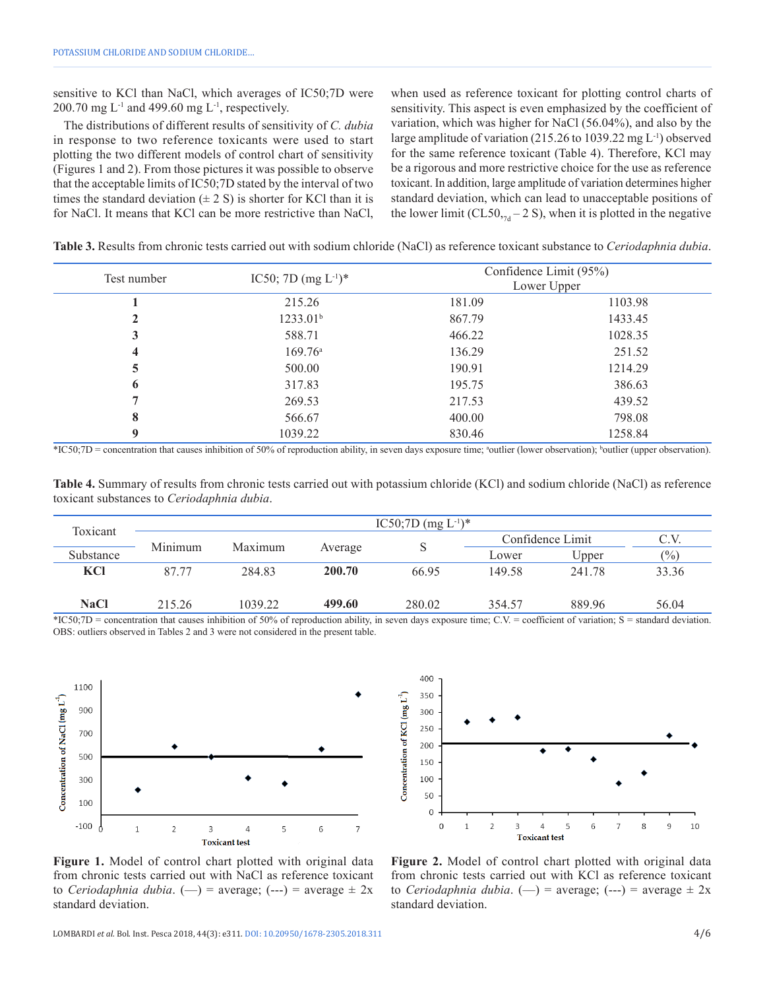sensitive to KCl than NaCl, which averages of IC50;7D were  $200.70$  mg L<sup>-1</sup> and 499.60 mg L<sup>-1</sup>, respectively.

The distributions of different results of sensitivity of *C. dubia* in response to two reference toxicants were used to start plotting the two different models of control chart of sensitivity (Figures 1 and 2). From those pictures it was possible to observe that the acceptable limits of IC50;7D stated by the interval of two times the standard deviation  $(\pm 2 \text{ S})$  is shorter for KCl than it is for NaCl. It means that KCl can be more restrictive than NaCl, when used as reference toxicant for plotting control charts of sensitivity. This aspect is even emphasized by the coefficient of variation, which was higher for NaCl (56.04%), and also by the large amplitude of variation (215.26 to 1039.22 mg L-1) observed for the same reference toxicant (Table 4). Therefore, KCl may be a rigorous and more restrictive choice for the use as reference toxicant. In addition, large amplitude of variation determines higher standard deviation, which can lead to unacceptable positions of the lower limit (CL50, $_{7d}$  – 2 S), when it is plotted in the negative

| Test number |                          | Confidence Limit (95%) |             |  |
|-------------|--------------------------|------------------------|-------------|--|
|             | IC50; 7D $(mg L^{-1})^*$ |                        | Lower Upper |  |
|             | 215.26                   | 181.09                 | 1103.98     |  |
| 2           | 1233.01 <sup>b</sup>     | 867.79                 | 1433.45     |  |
| 3           | 588.71                   | 466.22                 | 1028.35     |  |
| 4           | $169.76^{\circ}$         | 136.29                 | 251.52      |  |
| 5           | 500.00                   | 190.91                 | 1214.29     |  |
| 6           | 317.83                   | 195.75                 | 386.63      |  |
|             | 269.53                   | 217.53                 | 439.52      |  |
| 8           | 566.67                   | 400.00                 | 798.08      |  |
| 9           | 1039.22                  | 830.46                 | 1258.84     |  |

**Table 3.** Results from chronic tests carried out with sodium chloride (NaCl) as reference toxicant substance to *Ceriodaphnia dubia*.

\*IC50;7D = concentration that causes inhibition of 50% of reproduction ability, in seven days exposure time; \*outlier (lower observation); \*outlier (upper observation).

**Table 4.** Summary of results from chronic tests carried out with potassium chloride (KCl) and sodium chloride (NaCl) as reference toxicant substances to *Ceriodaphnia dubia*.

| Toxicant    | IC50;7D (mg $L^{-1}$ )* |         |         |        |                  |        |       |
|-------------|-------------------------|---------|---------|--------|------------------|--------|-------|
|             | Minimum                 | Maximum |         |        | Confidence Limit |        | C.V.  |
| Substance   |                         |         | Average | S      | Lower            | Upper  | (%)   |
| KCI         | 87.77                   | 284.83  | 200.70  | 66.95  | 149.58           | 241.78 | 33.36 |
|             |                         |         |         |        |                  |        |       |
| <b>NaCl</b> | 215.26                  | 1039.22 | 499.60  | 280.02 | 354.57           | 889.96 | 56.04 |

\*IC50;7D = concentration that causes inhibition of 50% of reproduction ability, in seven days exposure time; C.V. = coefficient of variation; S = standard deviation. OBS: outliers observed in Tables 2 and 3 were not considered in the present table.





**Figure 1.** Model of control chart plotted with original data from chronic tests carried out with NaCl as reference toxicant to *Ceriodaphnia dubia*.  $(-)$  = average;  $(-)$  = average  $\pm$  2x standard deviation.

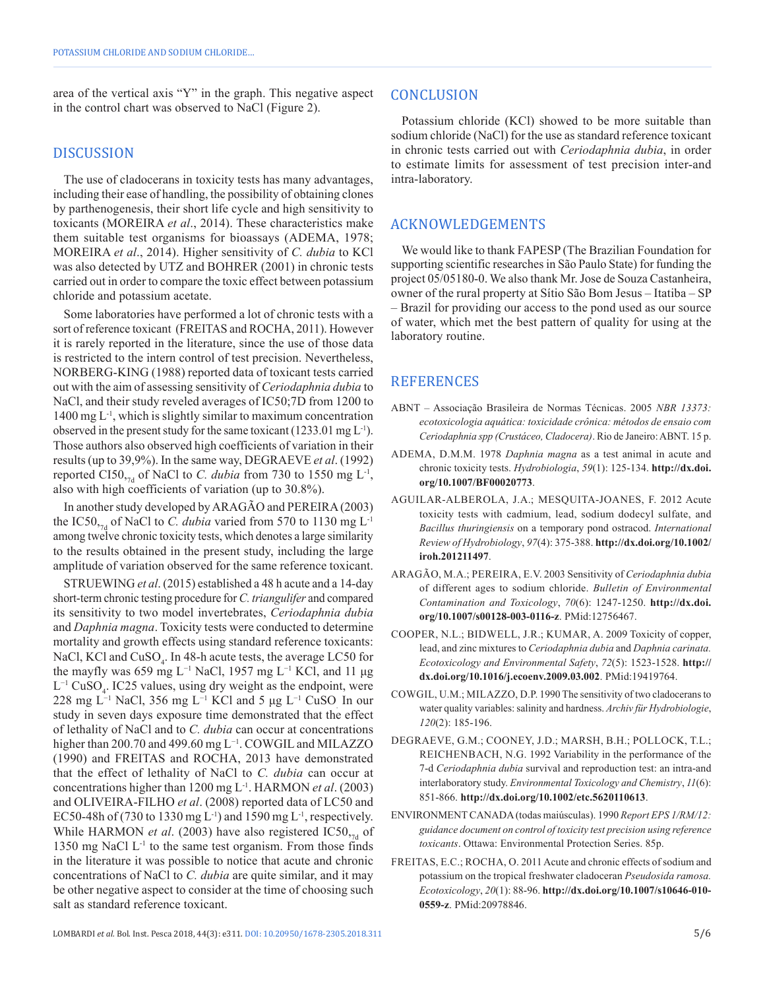area of the vertical axis "Y" in the graph. This negative aspect in the control chart was observed to NaCl (Figure 2).

### DISCUSSION

The use of cladocerans in toxicity tests has many advantages, including their ease of handling, the possibility of obtaining clones by parthenogenesis, their short life cycle and high sensitivity to toxicants (MOREIRA *et al*., 2014). These characteristics make them suitable test organisms for bioassays (ADEMA, 1978; MOREIRA *et al*., 2014). Higher sensitivity of *C. dubia* to KCl was also detected by UTZ and BOHRER (2001) in chronic tests carried out in order to compare the toxic effect between potassium chloride and potassium acetate.

Some laboratories have performed a lot of chronic tests with a sort of reference toxicant (FREITAS and ROCHA, 2011). However it is rarely reported in the literature, since the use of those data is restricted to the intern control of test precision. Nevertheless, NORBERG-KING (1988) reported data of toxicant tests carried out with the aim of assessing sensitivity of *Ceriodaphnia dubia* to NaCl, and their study reveled averages of IC50;7D from 1200 to  $1400 \text{ mg } L^{-1}$ , which is slightly similar to maximum concentration observed in the present study for the same toxicant (1233.01 mg  $L^{-1}$ ). Those authors also observed high coefficients of variation in their results (up to 39,9%). In the same way, DEGRAEVE *et al*. (1992) reported CI50,<sub>7d</sub> of NaCl to *C. dubia* from 730 to 1550 mg L<sup>-1</sup>, also with high coefficients of variation (up to 30.8%).

In another study developed by ARAGÃO and PEREIRA (2003) the IC50,<sub>7d</sub> of NaCl to *C. dubia* varied from 570 to 1130 mg L<sup>-1</sup> among twelve chronic toxicity tests, which denotes a large similarity to the results obtained in the present study, including the large amplitude of variation observed for the same reference toxicant.

STRUEWING *et al*. (2015) established a 48 h acute and a 14-day short-term chronic testing procedure for *C. triangulifer* and compared its sensitivity to two model invertebrates, *Ceriodaphnia dubia* and *Daphnia magna*. Toxicity tests were conducted to determine mortality and growth effects using standard reference toxicants: NaCl, KCl and  $CuSO_4$ . In 48-h acute tests, the average LC50 for the mayfly was 659 mg L−1 NaCl, 1957 mg L−1 KCl, and 11 μg  $L^{-1}$  CuSO<sub>4</sub>. IC25 values, using dry weight as the endpoint, were 228 mg L−1 NaCl, 356 mg L−1 KCl and 5 μg L−1 CuSO. In our study in seven days exposure time demonstrated that the effect of lethality of NaCl and to *C. dubia* can occur at concentrations higher than 200.70 and 499.60 mg L−1. COWGIL and MILAZZO (1990) and FREITAS and ROCHA, 2013 have demonstrated that the effect of lethality of NaCl to *C. dubia* can occur at concentrations higher than 1200 mg L-1. HARMON *et al*. (2003) and OLIVEIRA-FILHO *et al*. (2008) reported data of LC50 and EC50-48h of (730 to 1330 mg L<sup>-1</sup>) and 1590 mg L<sup>-1</sup>, respectively. While HARMON *et al.* (2003) have also registered IC50,<sub>7d</sub> of 1350 mg NaCl  $L<sup>-1</sup>$  to the same test organism. From those finds in the literature it was possible to notice that acute and chronic concentrations of NaCl to *C. dubia* are quite similar, and it may be other negative aspect to consider at the time of choosing such salt as standard reference toxicant.

#### **CONCLUSION**

Potassium chloride (KCl) showed to be more suitable than sodium chloride (NaCl) for the use as standard reference toxicant in chronic tests carried out with *Ceriodaphnia dubia*, in order to estimate limits for assessment of test precision inter-and intra-laboratory.

#### ACKNOWLEDGEMENTS

We would like to thank FAPESP (The Brazilian Foundation for supporting scientific researches in São Paulo State) for funding the project 05/05180-0. We also thank Mr. Jose de Souza Castanheira, owner of the rural property at Sítio São Bom Jesus – Itatiba – SP – Brazil for providing our access to the pond used as our source of water, which met the best pattern of quality for using at the laboratory routine.

#### REFERENCES

- ABNT Associação Brasileira de Normas Técnicas. 2005 *NBR 13373: ecotoxicologia aquática: toxicidade crônica: métodos de ensaio com Ceriodaphnia spp (Crustáceo, Cladocera)*. Rio de Janeiro: ABNT. 15 p.
- ADEMA, D.M.M. 1978 *Daphnia magna* as a test animal in acute and chronic toxicity tests. *Hydrobiologia*, *59*(1): 125-134. **[http://dx.doi.](https://doi.org/10.1007/BF00020773) [org/10.1007/BF00020773](https://doi.org/10.1007/BF00020773)**.
- AGUILAR-ALBEROLA, J.A.; MESQUITA-JOANES, F. 2012 Acute toxicity tests with cadmium, lead, sodium dodecyl sulfate, and *Bacillus thuringiensis* on a temporary pond ostracod. *International Review of Hydrobiology*, *97*(4): 375-388. **[http://dx.doi.org/10.1002/](https://doi.org/10.1002/iroh.201211497) [iroh.201211497](https://doi.org/10.1002/iroh.201211497)**.
- ARAGÃO, M.A.; PEREIRA, E.V. 2003 Sensitivity of *Ceriodaphnia dubia* of different ages to sodium chloride. *Bulletin of Environmental Contamination and Toxicology*, *70*(6): 1247-1250. **[http://dx.doi.](https://doi.org/10.1007/s00128-003-0116-z) [org/10.1007/s00128-003-0116-z](https://doi.org/10.1007/s00128-003-0116-z)**. [PMid:12756467.](https://www.ncbi.nlm.nih.gov/entrez/query.fcgi?cmd=Retrieve&db=PubMed&list_uids=12756467&dopt=Abstract)
- COOPER, N.L.; BIDWELL, J.R.; KUMAR, A. 2009 Toxicity of copper, lead, and zinc mixtures to *Ceriodaphnia dubia* and *Daphnia carinata. Ecotoxicology and Environmental Safety*, *72*(5): 1523-1528. **[http://](https://doi.org/10.1016/j.ecoenv.2009.03.002) [dx.doi.org/10.1016/j.ecoenv.2009.03.002](https://doi.org/10.1016/j.ecoenv.2009.03.002)**[. PMid:19419764.](https://www.ncbi.nlm.nih.gov/entrez/query.fcgi?cmd=Retrieve&db=PubMed&list_uids=19419764&dopt=Abstract)
- COWGIL, U.M.; MILAZZO, D.P. 1990 The sensitivity of two cladocerans to water quality variables: salinity and hardness. *Archiv für Hydrobiologie*, *120*(2): 185-196.
- DEGRAEVE, G.M.; COONEY, J.D.; MARSH, B.H.; POLLOCK, T.L.; REICHENBACH, N.G. 1992 Variability in the performance of the 7-d *Ceriodaphnia dubia* survival and reproduction test: an intra-and interlaboratory study. *Environmental Toxicology and Chemistry*, *11*(6): 851-866. **[http://dx.doi.org/10.1002/etc.5620110613](https://doi.org/10.1002/etc.5620110613)**.
- ENVIRONMENT CANADA (todas maiúsculas). 1990 *Report EPS 1/RM/12: guidance document on control of toxicity test precision using reference toxicants*. Ottawa: Environmental Protection Series. 85p.
- FREITAS, E.C.; ROCHA, O. 2011 Acute and chronic effects of sodium and potassium on the tropical freshwater cladoceran *Pseudosida ramosa. Ecotoxicology*, *20*(1): 88-96. **[http://dx.doi.org/10.1007/s10646-010-](https://doi.org/10.1007/s10646-010-0559-z) [0559-z](https://doi.org/10.1007/s10646-010-0559-z)**. [PMid:20978846.](https://www.ncbi.nlm.nih.gov/entrez/query.fcgi?cmd=Retrieve&db=PubMed&list_uids=20978846&dopt=Abstract)